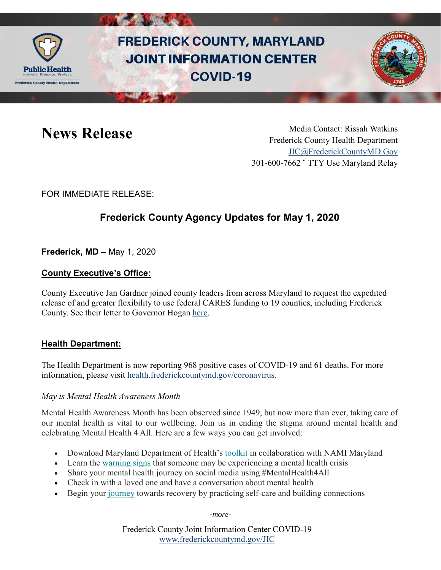

# **FREDERICK COUNTY, MARYLAND JOINT INFORMATION CENTER COVID-19**



News Release Media Contact: Rissah Watkins Frederick County Health Department [JIC@FrederickCountyMD.Gov](mailto:JIC@FrederickCountyMD.Gov) 301-600-7662 • TTY Use Maryland Relay

FOR IMMEDIATE RELEASE:

# **Frederick County Agency Updates for May 1, 2020**

**Frederick, MD –** May 1, 2020

# **County Executive's Office:**

County Executive Jan Gardner joined county leaders from across Maryland to request the expedited release of and greater flexibility to use federal CARES funding to 19 counties, including Frederick County. See their letter to Governor Hogan [here.](https://www.mdcounties.org/DocumentCenter/View/4216/MACo-Ltr-to-Gov-Hogan---CARES-Funding-to-All-Counties)

# **Health Department:**

The Health Department is now reporting 968 positive cases of COVID-19 and 61 deaths. For more information, please visit [health.frederickcountymd.gov/coronavirus.](https://health.frederickcountymd.gov/614/Novel-Coronavirus-COVID-19)

# *May is Mental Health Awareness Month*

Mental Health Awareness Month has been observed since 1949, but now more than ever, taking care of our mental health is vital to our wellbeing. Join us in ending the stigma around mental health and celebrating Mental Health 4 All. Here are a few ways you can get involved:

- Download Maryland Department of Health's [toolkit](https://maryland.us20.list-manage.com/track/click?u=8ead521bfd1329782cf25eee2&id=a6f8e1692a&e=2876dcf0f2) in collaboration with NAMI Maryland
- Learn the [warning signs](https://maryland.us20.list-manage.com/track/click?u=8ead521bfd1329782cf25eee2&id=09ae8b28f4&e=2876dcf0f2) that someone may be experiencing a mental health crisis
- Share your mental health journey on social media using #MentalHealth4All
- Check in with a loved one and have a conversation about mental health
- Begin your [journey](https://maryland.us20.list-manage.com/track/click?u=8ead521bfd1329782cf25eee2&id=afbaaac771&e=2876dcf0f2) towards recovery by practicing self-care and building connections

-*more-*

Frederick County Joint Information Center COVID-19 [www.frederickcountymd.gov/JIC](https://frederickcountymd.gov/JIC)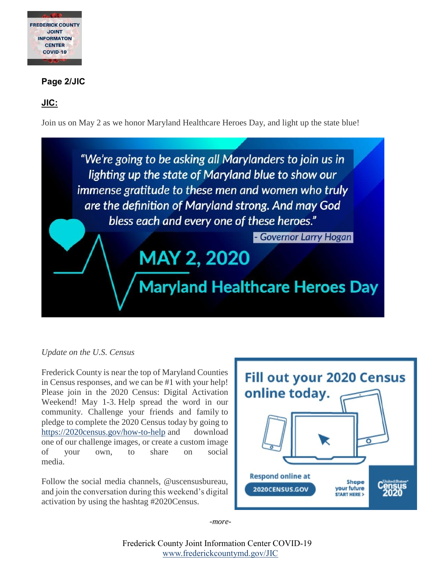

# **Page 2/JIC**

# **JIC:**

Join us on May 2 as we honor Maryland Healthcare Heroes Day, and light up the state blue!



# *Update on the U.S. Census*

Frederick County is near the top of Maryland Counties in Census responses, and we can be #1 with your help! Please join in the 2020 Census: Digital Activation Weekend! May 1-3. Help spread the word in our community. Challenge your friends and family to pledge to complete the 2020 Census today by going to [https://2020census.gov/how-to-help](https://linkprotect.cudasvc.com/url?a=https%3a%2f%2f2020census.gov%2fhow-to-help&c=E,1,-K-q5xY0eacJPVQZO6XIaxgvZxWDjk2BtFXx94-h1fghVuuC8QTacikthErFM14uqUeMu3pbUhWvUA6fxSuKWMUM2XTtGLkg6ROerd1TFQ,,&typo=1) and download one of our challenge images, or create a custom image of your own, to share on social media.

Follow the social media channels, @uscensusbureau, and join the conversation during this weekend's digital activation by using the hashtag #2020Census.



-*more-*